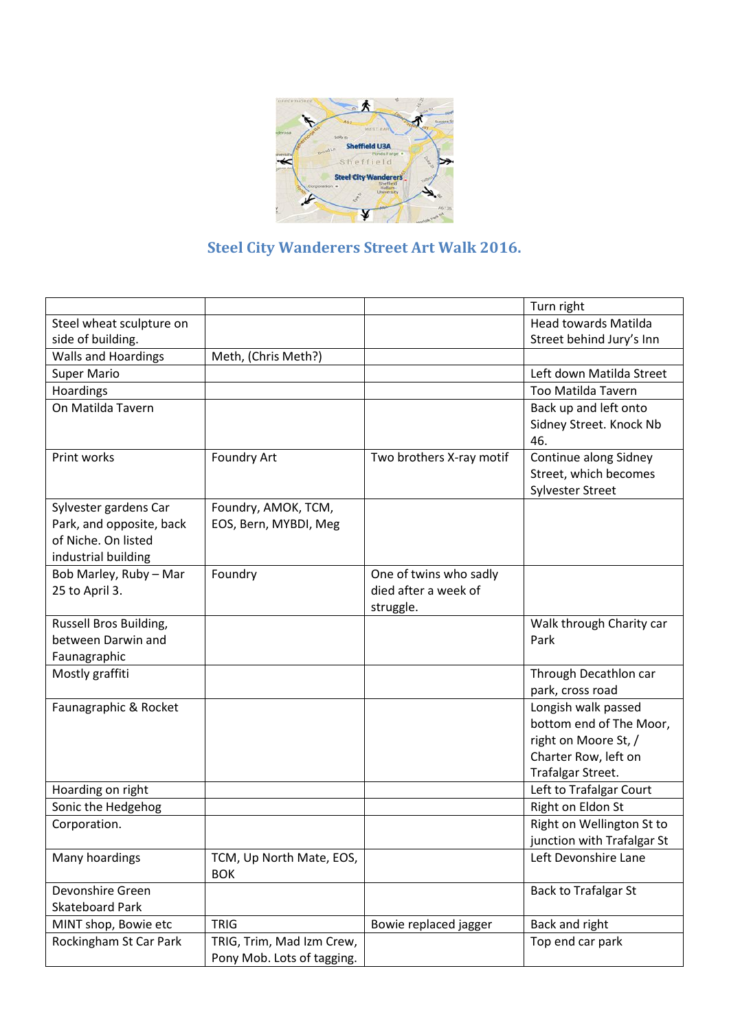

## **Steel City Wanderers Street Art Walk 2016.**

|                                            |                            |                          | Turn right                  |
|--------------------------------------------|----------------------------|--------------------------|-----------------------------|
| Steel wheat sculpture on                   |                            |                          | <b>Head towards Matilda</b> |
| side of building.                          |                            |                          | Street behind Jury's Inn    |
| <b>Walls and Hoardings</b>                 | Meth, (Chris Meth?)        |                          |                             |
| <b>Super Mario</b>                         |                            |                          | Left down Matilda Street    |
| Hoardings                                  |                            |                          | <b>Too Matilda Tavern</b>   |
| On Matilda Tavern                          |                            |                          | Back up and left onto       |
|                                            |                            |                          | Sidney Street. Knock Nb     |
|                                            |                            |                          | 46.                         |
| Print works                                | <b>Foundry Art</b>         | Two brothers X-ray motif | Continue along Sidney       |
|                                            |                            |                          | Street, which becomes       |
|                                            |                            |                          | <b>Sylvester Street</b>     |
| Sylvester gardens Car                      | Foundry, AMOK, TCM,        |                          |                             |
| Park, and opposite, back                   | EOS, Bern, MYBDI, Meg      |                          |                             |
| of Niche. On listed                        |                            |                          |                             |
| industrial building                        |                            |                          |                             |
| Bob Marley, Ruby - Mar                     | Foundry                    | One of twins who sadly   |                             |
| 25 to April 3.                             |                            | died after a week of     |                             |
|                                            |                            | struggle.                |                             |
| Russell Bros Building,                     |                            |                          | Walk through Charity car    |
| between Darwin and                         |                            |                          | Park                        |
| Faunagraphic                               |                            |                          |                             |
| Mostly graffiti                            |                            |                          | Through Decathlon car       |
|                                            |                            |                          | park, cross road            |
| Faunagraphic & Rocket                      |                            |                          | Longish walk passed         |
|                                            |                            |                          | bottom end of The Moor,     |
|                                            |                            |                          | right on Moore St, /        |
|                                            |                            |                          | Charter Row, left on        |
|                                            |                            |                          | Trafalgar Street.           |
| Hoarding on right                          |                            |                          | Left to Trafalgar Court     |
| Sonic the Hedgehog                         |                            |                          | Right on Eldon St           |
| Corporation.                               |                            |                          | Right on Wellington St to   |
|                                            |                            |                          | junction with Trafalgar St  |
| Many hoardings                             | TCM, Up North Mate, EOS,   |                          | Left Devonshire Lane        |
|                                            | <b>BOK</b>                 |                          |                             |
| Devonshire Green<br><b>Skateboard Park</b> |                            |                          | <b>Back to Trafalgar St</b> |
|                                            |                            |                          |                             |
| MINT shop, Bowie etc                       | <b>TRIG</b>                | Bowie replaced jagger    | Back and right              |
| Rockingham St Car Park                     | TRIG, Trim, Mad Izm Crew,  |                          | Top end car park            |
|                                            | Pony Mob. Lots of tagging. |                          |                             |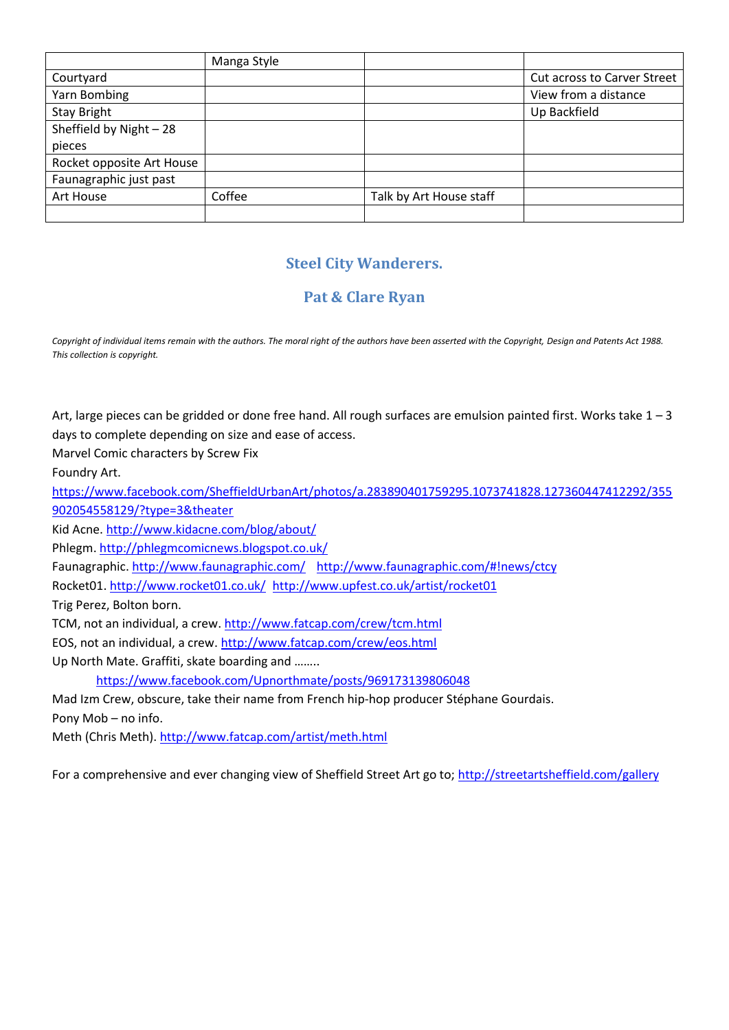|                           | Manga Style |                         |                                    |
|---------------------------|-------------|-------------------------|------------------------------------|
| Courtyard                 |             |                         | <b>Cut across to Carver Street</b> |
| Yarn Bombing              |             |                         | View from a distance               |
| <b>Stay Bright</b>        |             |                         | Up Backfield                       |
| Sheffield by Night - 28   |             |                         |                                    |
| pieces                    |             |                         |                                    |
| Rocket opposite Art House |             |                         |                                    |
| Faunagraphic just past    |             |                         |                                    |
| Art House                 | Coffee      | Talk by Art House staff |                                    |
|                           |             |                         |                                    |

## **Steel City Wanderers.**

## **Pat & Clare Ryan**

Copyright of individual items remain with the authors. The moral right of the authors have been asserted with the Copyright, Design and Patents Act 1988. *This collection is copyright.*

Art, large pieces can be gridded or done free hand. All rough surfaces are emulsion painted first. Works take  $1 - 3$ days to complete depending on size and ease of access.

Marvel Comic characters by Screw Fix

Foundry Art.

[https://www.facebook.com/SheffieldUrbanArt/photos/a.283890401759295.1073741828.127360447412292/355](https://www.facebook.com/SheffieldUrbanArt/photos/a.283890401759295.1073741828.127360447412292/355902054558129/?type=3&theater) [902054558129/?type=3&theater](https://www.facebook.com/SheffieldUrbanArt/photos/a.283890401759295.1073741828.127360447412292/355902054558129/?type=3&theater)

Kid Acne[. http://www.kidacne.com/blog/about/](http://www.kidacne.com/blog/about/)

Phlegm[. http://phlegmcomicnews.blogspot.co.uk/](http://phlegmcomicnews.blogspot.co.uk/)

Faunagraphic.<http://www.faunagraphic.com/> <http://www.faunagraphic.com/#!news/ctcy>

Rocket01[. http://www.rocket01.co.uk/](http://www.rocket01.co.uk/) <http://www.upfest.co.uk/artist/rocket01>

Trig Perez, Bolton born.

TCM, not an individual, a crew.<http://www.fatcap.com/crew/tcm.html>

EOS, not an individual, a crew.<http://www.fatcap.com/crew/eos.html>

Up North Mate. Graffiti, skate boarding and ……..

<https://www.facebook.com/Upnorthmate/posts/969173139806048>

Mad Izm Crew, obscure, take their name from French hip-hop producer Stéphane Gourdais.

Pony Mob – no info.

Meth (Chris Meth)[. http://www.fatcap.com/artist/meth.html](http://www.fatcap.com/artist/meth.html)

For a comprehensive and ever changing view of Sheffield Street Art go to;<http://streetartsheffield.com/gallery>